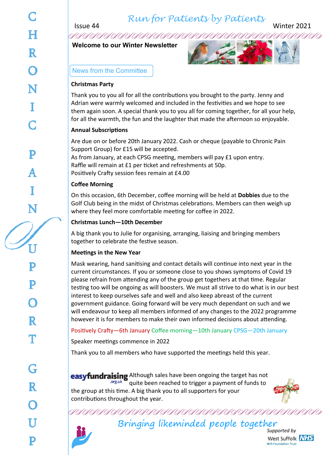*Run for Patients by Patients*

Issue 44 Winter 2021

**Welcome to our Winter Newsletter**



News from the Committee

## **Christmas Party**

Thank you to you all for all the contributions you brought to the party. Jenny and Adrian were warmly welcomed and included in the festivities and we hope to see them again soon. A special thank you to you all for coming together, for all your help, for all the warmth, the fun and the laughter that made the afternoon so enjoyable.

## **Annual Subscriptions**

Are due on or before 20th January 2022. Cash or cheque (payable to Chronic Pain Support Group) for £15 will be accepted.

As from January, at each CPSG meeting, members will pay £1 upon entry. Raffle will remain at £1 per ticket and refreshments at 50p. Positively Crafty session fees remain at £4.00

## **Coffee Morning**

On this occasion, 6th December, coffee morning will be held at **Dobbies** due to the Golf Club being in the midst of Christmas celebrations. Members can then weigh up where they feel more comfortable meeting for coffee in 2022.

## **Christmas Lunch—10th December**

A big thank you to Julie for organising, arranging, liaising and bringing members together to celebrate the festive season.

## **Meetings in the New Year**

Mask wearing, hand sanitising and contact details will continue into next year in the current circumstances. If you or someone close to you shows symptoms of Covid 19 please refrain from attending any of the group get togethers at that time. Regular testing too will be ongoing as will boosters. We must all strive to do what is in our best interest to keep ourselves safe and well and also keep abreast of the current government guidance. Going forward will be very much dependant on such and we will endeavour to keep all members informed of any changes to the 2022 programme however it is for members to make their own informed decisions about attending.

## Positively Crafty—6th January Coffee morning—10th January CPSG—20th January

Speaker meetings commence in 2022

Thank you to all members who have supported the meetings held this year.

**easyfundraising** Although sales have been ongoing the target has not .org.uk quite been reached to trigger a payment of funds to the group at this time. A big thank you to all supporters for your contributions throughout the year.



# Bringing likeminded people together

*Supported by* West Suffolk NHS **NHS Foundation Trust**